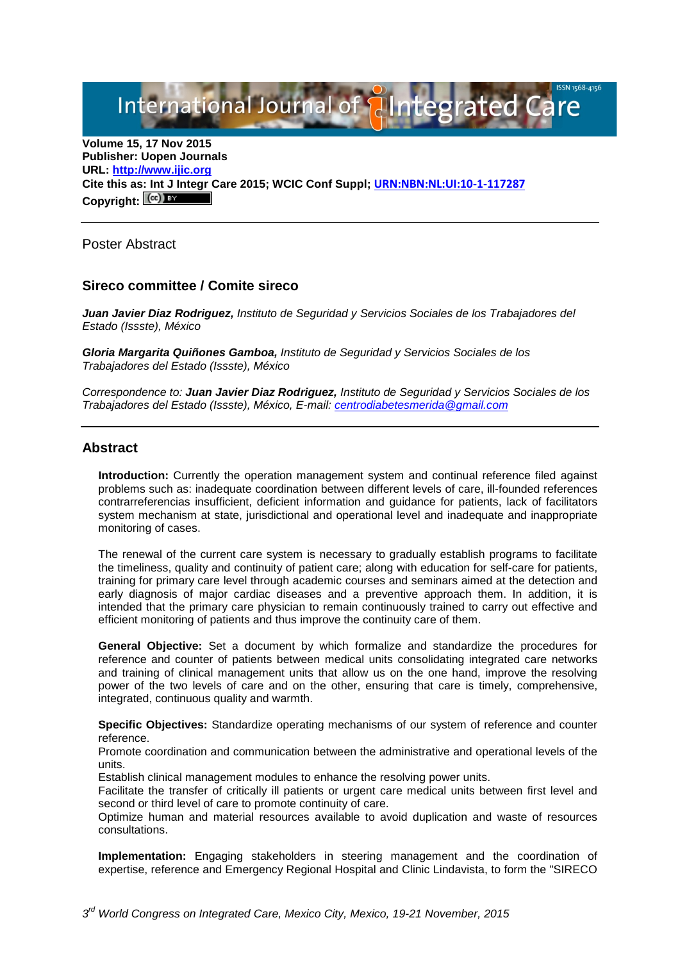International Journal of **Plantegrated Care** 

**Volume 15, 17 Nov 2015 Publisher: Uopen Journals URL: [http://www.ijic.org](http://www.ijic.org/) Cite this as: Int J Integr Care 2015; WCIC Conf Suppl; [URN:NBN:NL:UI:10-1-117287](http://persistent-identifier.nl/?identifier=URN:NBN:NL:UI:10-1-117287)** Copyright:  $(cc)$ 

Poster Abstract

### **Sireco committee / Comite sireco**

*Juan Javier Diaz Rodriguez, Instituto de Seguridad y Servicios Sociales de los Trabajadores del Estado (Issste), México*

*Gloria Margarita Quiñones Gamboa, Instituto de Seguridad y Servicios Sociales de los Trabajadores del Estado (Issste), México*

*Correspondence to: Juan Javier Diaz Rodriguez, Instituto de Seguridad y Servicios Sociales de los Trabajadores del Estado (Issste), México, E-mail: [centrodiabetesmerida@gmail.com](mailto:centrodiabetesmerida@gmail.com)*

#### **Abstract**

**Introduction:** Currently the operation management system and continual reference filed against problems such as: inadequate coordination between different levels of care, ill-founded references contrarreferencias insufficient, deficient information and guidance for patients, lack of facilitators system mechanism at state, jurisdictional and operational level and inadequate and inappropriate monitoring of cases.

The renewal of the current care system is necessary to gradually establish programs to facilitate the timeliness, quality and continuity of patient care; along with education for self-care for patients, training for primary care level through academic courses and seminars aimed at the detection and early diagnosis of major cardiac diseases and a preventive approach them. In addition, it is intended that the primary care physician to remain continuously trained to carry out effective and efficient monitoring of patients and thus improve the continuity care of them.

**General Objective:** Set a document by which formalize and standardize the procedures for reference and counter of patients between medical units consolidating integrated care networks and training of clinical management units that allow us on the one hand, improve the resolving power of the two levels of care and on the other, ensuring that care is timely, comprehensive, integrated, continuous quality and warmth.

**Specific Objectives:** Standardize operating mechanisms of our system of reference and counter reference.

Promote coordination and communication between the administrative and operational levels of the units.

Establish clinical management modules to enhance the resolving power units.

Facilitate the transfer of critically ill patients or urgent care medical units between first level and second or third level of care to promote continuity of care.

Optimize human and material resources available to avoid duplication and waste of resources consultations.

**Implementation:** Engaging stakeholders in steering management and the coordination of expertise, reference and Emergency Regional Hospital and Clinic Lindavista, to form the "SIRECO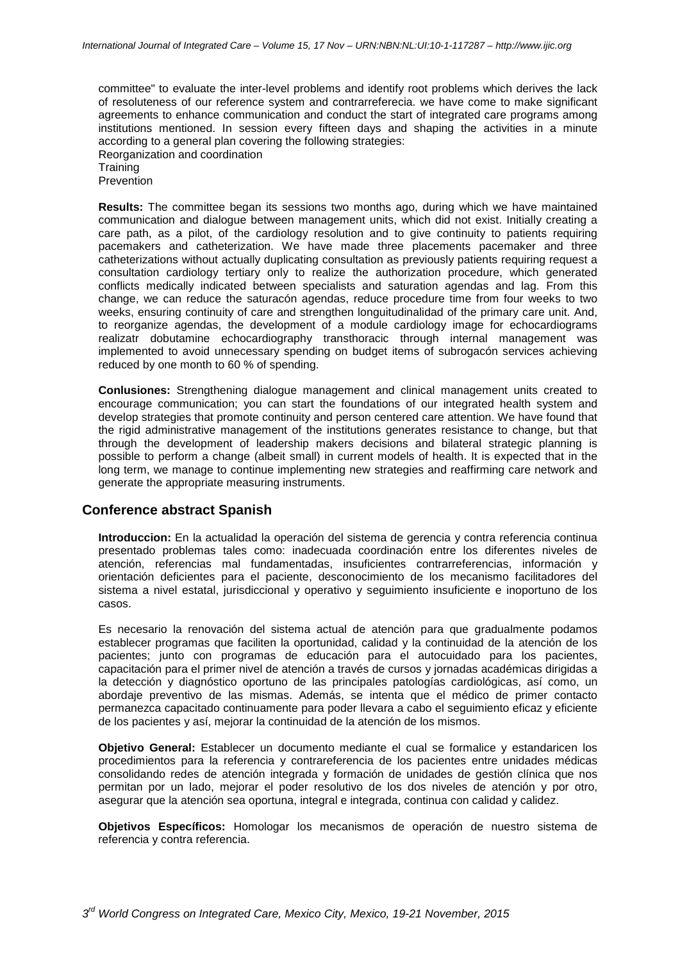committee" to evaluate the inter-level problems and identify root problems which derives the lack of resoluteness of our reference system and contrarreferecia. we have come to make significant agreements to enhance communication and conduct the start of integrated care programs among institutions mentioned. In session every fifteen days and shaping the activities in a minute according to a general plan covering the following strategies:

Reorganization and coordination

**Training** 

Prevention

**Results:** The committee began its sessions two months ago, during which we have maintained communication and dialogue between management units, which did not exist. Initially creating a care path, as a pilot, of the cardiology resolution and to give continuity to patients requiring pacemakers and catheterization. We have made three placements pacemaker and three catheterizations without actually duplicating consultation as previously patients requiring request a consultation cardiology tertiary only to realize the authorization procedure, which generated conflicts medically indicated between specialists and saturation agendas and lag. From this change, we can reduce the saturacón agendas, reduce procedure time from four weeks to two weeks, ensuring continuity of care and strengthen longuitudinalidad of the primary care unit. And, to reorganize agendas, the development of a module cardiology image for echocardiograms realizatr dobutamine echocardiography transthoracic through internal management was implemented to avoid unnecessary spending on budget items of subrogacón services achieving reduced by one month to 60 % of spending.

**Conlusiones:** Strengthening dialogue management and clinical management units created to encourage communication; you can start the foundations of our integrated health system and develop strategies that promote continuity and person centered care attention. We have found that the rigid administrative management of the institutions generates resistance to change, but that through the development of leadership makers decisions and bilateral strategic planning is possible to perform a change (albeit small) in current models of health. It is expected that in the long term, we manage to continue implementing new strategies and reaffirming care network and generate the appropriate measuring instruments.

# **Conference abstract Spanish**

**Introduccion:** En la actualidad la operación del sistema de gerencia y contra referencia continua presentado problemas tales como: inadecuada coordinación entre los diferentes niveles de atención, referencias mal fundamentadas, insuficientes contrarreferencias, información y orientación deficientes para el paciente, desconocimiento de los mecanismo facilitadores del sistema a nivel estatal, jurisdiccional y operativo y seguimiento insuficiente e inoportuno de los casos.

Es necesario la renovación del sistema actual de atención para que gradualmente podamos establecer programas que faciliten la oportunidad, calidad y la continuidad de la atención de los pacientes; junto con programas de educación para el autocuidado para los pacientes, capacitación para el primer nivel de atención a través de cursos y jornadas académicas dirigidas a la detección y diagnóstico oportuno de las principales patologías cardiológicas, así como, un abordaje preventivo de las mismas. Además, se intenta que el médico de primer contacto permanezca capacitado continuamente para poder llevara a cabo el seguimiento eficaz y eficiente de los pacientes y así, mejorar la continuidad de la atención de los mismos.

**Objetivo General:** Establecer un documento mediante el cual se formalice y estandaricen los procedimientos para la referencia y contrareferencia de los pacientes entre unidades médicas consolidando redes de atención integrada y formación de unidades de gestión clínica que nos permitan por un lado, mejorar el poder resolutivo de los dos niveles de atención y por otro, asegurar que la atención sea oportuna, integral e integrada, continua con calidad y calidez.

**Objetivos Específicos:** Homologar los mecanismos de operación de nuestro sistema de referencia y contra referencia.